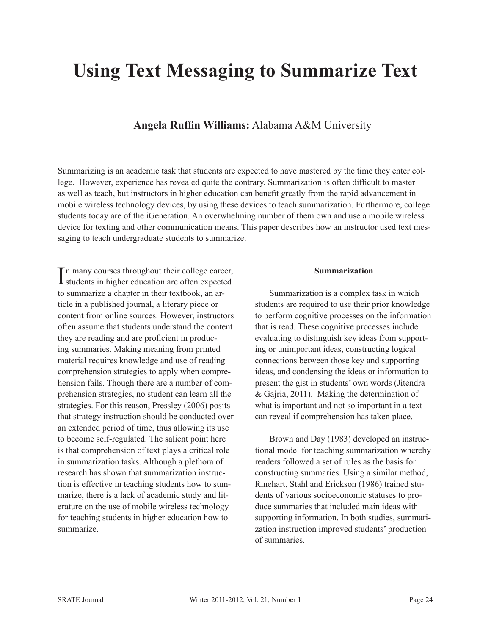# **Using Text Messaging to Summarize Text**

## **Angela Ruffin Williams:** Alabama A&M University

Summarizing is an academic task that students are expected to have mastered by the time they enter college. However, experience has revealed quite the contrary. Summarization is often difficult to master as well as teach, but instructors in higher education can benefit greatly from the rapid advancement in mobile wireless technology devices, by using these devices to teach summarization. Furthermore, college students today are of the iGeneration. An overwhelming number of them own and use a mobile wireless device for texting and other communication means. This paper describes how an instructor used text messaging to teach undergraduate students to summarize.

In many courses throughout their college career,<br>students in higher education are often expected n many courses throughout their college career, to summarize a chapter in their textbook, an article in a published journal, a literary piece or content from online sources. However, instructors often assume that students understand the content they are reading and are proficient in producing summaries. Making meaning from printed material requires knowledge and use of reading comprehension strategies to apply when comprehension fails. Though there are a number of comprehension strategies, no student can learn all the strategies. For this reason, Pressley (2006) posits that strategy instruction should be conducted over an extended period of time, thus allowing its use to become self-regulated. The salient point here is that comprehension of text plays a critical role in summarization tasks. Although a plethora of research has shown that summarization instruction is effective in teaching students how to summarize, there is a lack of academic study and literature on the use of mobile wireless technology for teaching students in higher education how to summarize.

#### **Summarization**

Summarization is a complex task in which students are required to use their prior knowledge to perform cognitive processes on the information that is read. These cognitive processes include evaluating to distinguish key ideas from supporting or unimportant ideas, constructing logical connections between those key and supporting ideas, and condensing the ideas or information to present the gist in students' own words (Jitendra & Gajria, 2011). Making the determination of what is important and not so important in a text can reveal if comprehension has taken place.

Brown and Day (1983) developed an instructional model for teaching summarization whereby readers followed a set of rules as the basis for constructing summaries. Using a similar method, Rinehart, Stahl and Erickson (1986) trained students of various socioeconomic statuses to produce summaries that included main ideas with supporting information. In both studies, summarization instruction improved students' production of summaries.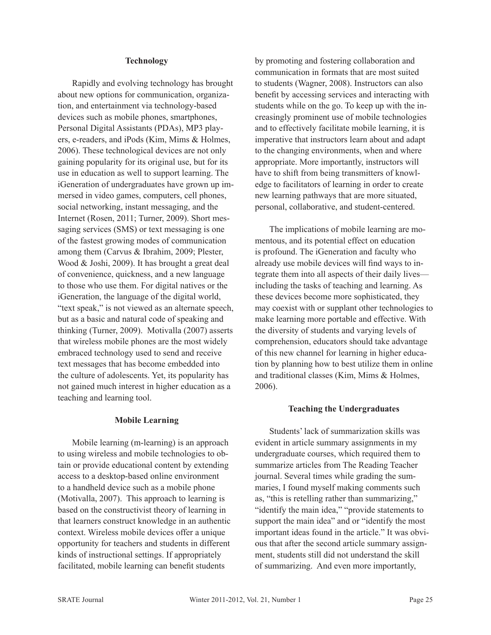### **Technology**

Rapidly and evolving technology has brought about new options for communication, organization, and entertainment via technology-based devices such as mobile phones, smartphones, Personal Digital Assistants (PDAs), MP3 players, e-readers, and iPods (Kim, Mims & Holmes, 2006). These technological devices are not only gaining popularity for its original use, but for its use in education as well to support learning. The iGeneration of undergraduates have grown up immersed in video games, computers, cell phones, social networking, instant messaging, and the Internet (Rosen, 2011; Turner, 2009). Short messaging services (SMS) or text messaging is one of the fastest growing modes of communication among them (Carvus & Ibrahim, 2009; Plester, Wood & Joshi, 2009). It has brought a great deal of convenience, quickness, and a new language to those who use them. For digital natives or the iGeneration, the language of the digital world, "text speak," is not viewed as an alternate speech, but as a basic and natural code of speaking and thinking (Turner, 2009). Motivalla (2007) asserts that wireless mobile phones are the most widely embraced technology used to send and receive text messages that has become embedded into the culture of adolescents. Yet, its popularity has not gained much interest in higher education as a teaching and learning tool.

#### **Mobile Learning**

Mobile learning (m-learning) is an approach to using wireless and mobile technologies to obtain or provide educational content by extending access to a desktop-based online environment to a handheld device such as a mobile phone (Motivalla, 2007). This approach to learning is based on the constructivist theory of learning in that learners construct knowledge in an authentic context. Wireless mobile devices offer a unique opportunity for teachers and students in different kinds of instructional settings. If appropriately facilitated, mobile learning can benefit students

by promoting and fostering collaboration and communication in formats that are most suited to students (Wagner, 2008). Instructors can also benefit by accessing services and interacting with students while on the go. To keep up with the increasingly prominent use of mobile technologies and to effectively facilitate mobile learning, it is imperative that instructors learn about and adapt to the changing environments, when and where appropriate. More importantly, instructors will have to shift from being transmitters of knowledge to facilitators of learning in order to create new learning pathways that are more situated, personal, collaborative, and student-centered.

The implications of mobile learning are momentous, and its potential effect on education is profound. The iGeneration and faculty who already use mobile devices will find ways to integrate them into all aspects of their daily lives including the tasks of teaching and learning. As these devices become more sophisticated, they may coexist with or supplant other technologies to make learning more portable and effective. With the diversity of students and varying levels of comprehension, educators should take advantage of this new channel for learning in higher education by planning how to best utilize them in online and traditional classes (Kim, Mims & Holmes, 2006).

#### **Teaching the Undergraduates**

Students' lack of summarization skills was evident in article summary assignments in my undergraduate courses, which required them to summarize articles from The Reading Teacher journal. Several times while grading the summaries, I found myself making comments such as, "this is retelling rather than summarizing," "identify the main idea," "provide statements to support the main idea" and or "identify the most important ideas found in the article." It was obvious that after the second article summary assignment, students still did not understand the skill of summarizing. And even more importantly,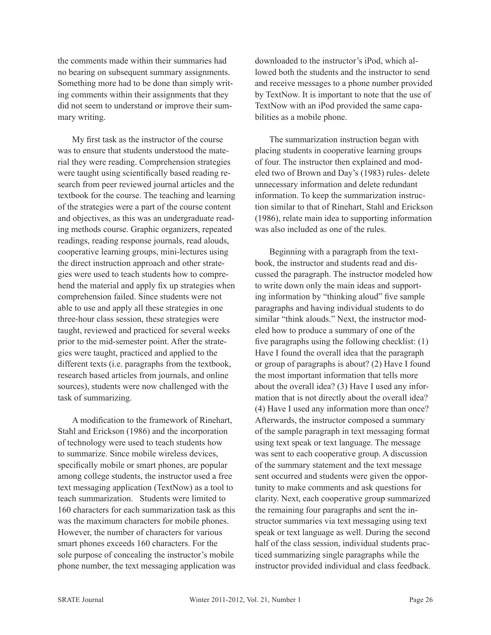the comments made within their summaries had no bearing on subsequent summary assignments. Something more had to be done than simply writing comments within their assignments that they did not seem to understand or improve their summary writing.

My first task as the instructor of the course was to ensure that students understood the material they were reading. Comprehension strategies were taught using scientifically based reading research from peer reviewed journal articles and the textbook for the course. The teaching and learning of the strategies were a part of the course content and objectives, as this was an undergraduate reading methods course. Graphic organizers, repeated readings, reading response journals, read alouds, cooperative learning groups, mini-lectures using the direct instruction approach and other strategies were used to teach students how to comprehend the material and apply fix up strategies when comprehension failed. Since students were not able to use and apply all these strategies in one three-hour class session, these strategies were taught, reviewed and practiced for several weeks prior to the mid-semester point. After the strategies were taught, practiced and applied to the different texts (i.e. paragraphs from the textbook, research based articles from journals, and online sources), students were now challenged with the task of summarizing.

A modification to the framework of Rinehart, Stahl and Erickson (1986) and the incorporation of technology were used to teach students how to summarize. Since mobile wireless devices, specifically mobile or smart phones, are popular among college students, the instructor used a free text messaging application (TextNow) as a tool to teach summarization. Students were limited to 160 characters for each summarization task as this was the maximum characters for mobile phones. However, the number of characters for various smart phones exceeds 160 characters. For the sole purpose of concealing the instructor's mobile phone number, the text messaging application was downloaded to the instructor's iPod, which allowed both the students and the instructor to send and receive messages to a phone number provided by TextNow. It is important to note that the use of TextNow with an iPod provided the same capabilities as a mobile phone.

The summarization instruction began with placing students in cooperative learning groups of four. The instructor then explained and modeled two of Brown and Day's (1983) rules- delete unnecessary information and delete redundant information. To keep the summarization instruction similar to that of Rinehart, Stahl and Erickson (1986), relate main idea to supporting information was also included as one of the rules.

Beginning with a paragraph from the textbook, the instructor and students read and discussed the paragraph. The instructor modeled how to write down only the main ideas and supporting information by "thinking aloud" five sample paragraphs and having individual students to do similar "think alouds." Next, the instructor modeled how to produce a summary of one of the five paragraphs using the following checklist: (1) Have I found the overall idea that the paragraph or group of paragraphs is about? (2) Have I found the most important information that tells more about the overall idea? (3) Have I used any information that is not directly about the overall idea? (4) Have I used any information more than once? Afterwards, the instructor composed a summary of the sample paragraph in text messaging format using text speak or text language. The message was sent to each cooperative group. A discussion of the summary statement and the text message sent occurred and students were given the opportunity to make comments and ask questions for clarity. Next, each cooperative group summarized the remaining four paragraphs and sent the instructor summaries via text messaging using text speak or text language as well. During the second half of the class session, individual students practiced summarizing single paragraphs while the instructor provided individual and class feedback.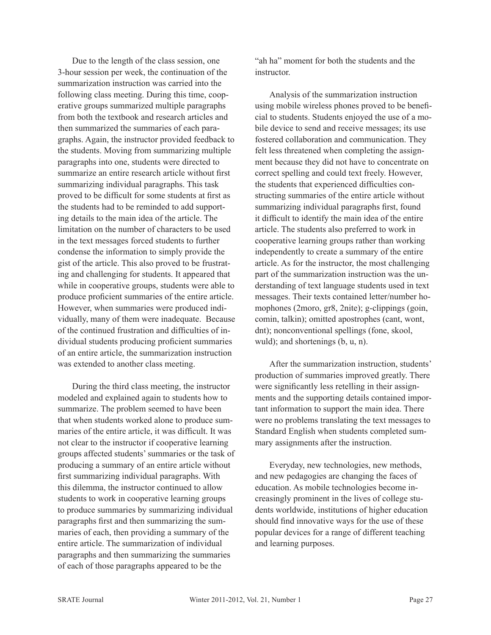Due to the length of the class session, one 3-hour session per week, the continuation of the summarization instruction was carried into the following class meeting. During this time, cooperative groups summarized multiple paragraphs from both the textbook and research articles and then summarized the summaries of each paragraphs. Again, the instructor provided feedback to the students. Moving from summarizing multiple paragraphs into one, students were directed to summarize an entire research article without first summarizing individual paragraphs. This task proved to be difficult for some students at first as the students had to be reminded to add supporting details to the main idea of the article. The limitation on the number of characters to be used in the text messages forced students to further condense the information to simply provide the gist of the article. This also proved to be frustrating and challenging for students. It appeared that while in cooperative groups, students were able to produce proficient summaries of the entire article. However, when summaries were produced individually, many of them were inadequate. Because of the continued frustration and difficulties of individual students producing proficient summaries of an entire article, the summarization instruction was extended to another class meeting.

During the third class meeting, the instructor modeled and explained again to students how to summarize. The problem seemed to have been that when students worked alone to produce summaries of the entire article, it was difficult. It was not clear to the instructor if cooperative learning groups affected students' summaries or the task of producing a summary of an entire article without first summarizing individual paragraphs. With this dilemma, the instructor continued to allow students to work in cooperative learning groups to produce summaries by summarizing individual paragraphs first and then summarizing the summaries of each, then providing a summary of the entire article. The summarization of individual paragraphs and then summarizing the summaries of each of those paragraphs appeared to be the

"ah ha" moment for both the students and the **instructor** 

Analysis of the summarization instruction using mobile wireless phones proved to be beneficial to students. Students enjoyed the use of a mobile device to send and receive messages; its use fostered collaboration and communication. They felt less threatened when completing the assignment because they did not have to concentrate on correct spelling and could text freely. However, the students that experienced difficulties constructing summaries of the entire article without summarizing individual paragraphs first, found it difficult to identify the main idea of the entire article. The students also preferred to work in cooperative learning groups rather than working independently to create a summary of the entire article. As for the instructor, the most challenging part of the summarization instruction was the understanding of text language students used in text messages. Their texts contained letter/number homophones (2moro, gr8, 2nite); g-clippings (goin, comin, talkin); omitted apostrophes (cant, wont, dnt); nonconventional spellings (fone, skool, wuld); and shortenings (b, u, n).

After the summarization instruction, students' production of summaries improved greatly. There were significantly less retelling in their assignments and the supporting details contained important information to support the main idea. There were no problems translating the text messages to Standard English when students completed summary assignments after the instruction.

Everyday, new technologies, new methods, and new pedagogies are changing the faces of education. As mobile technologies become increasingly prominent in the lives of college students worldwide, institutions of higher education should find innovative ways for the use of these popular devices for a range of different teaching and learning purposes.